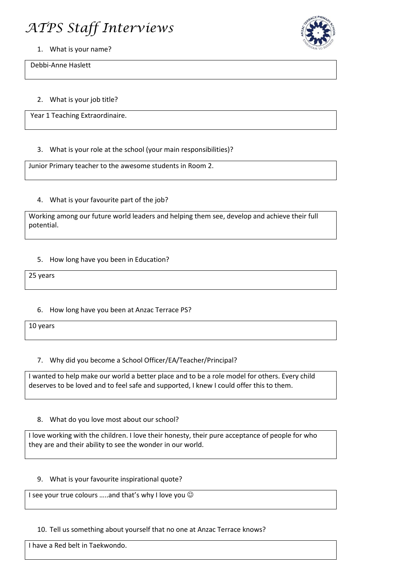# *ATPS Staff Interviews*



1. What is your name?

Debbi-Anne Haslett

2. What is your job title?

Year 1 Teaching Extraordinaire.

## 3. What is your role at the school (your main responsibilities)?

Junior Primary teacher to the awesome students in Room 2.

## 4. What is your favourite part of the job?

Working among our future world leaders and helping them see, develop and achieve their full potential.

## 5. How long have you been in Education?

25 years

# 6. How long have you been at Anzac Terrace PS?

10 years

# 7. Why did you become a School Officer/EA/Teacher/Principal?

I wanted to help make our world a better place and to be a role model for others. Every child deserves to be loved and to feel safe and supported, I knew I could offer this to them.

#### 8. What do you love most about our school?

I love working with the children. I love their honesty, their pure acceptance of people for who they are and their ability to see the wonder in our world.

#### 9. What is your favourite inspirational quote?

I see your true colours .....and that's why I love you  $\odot$ 

#### 10. Tell us something about yourself that no one at Anzac Terrace knows?

I have a Red belt in Taekwondo.